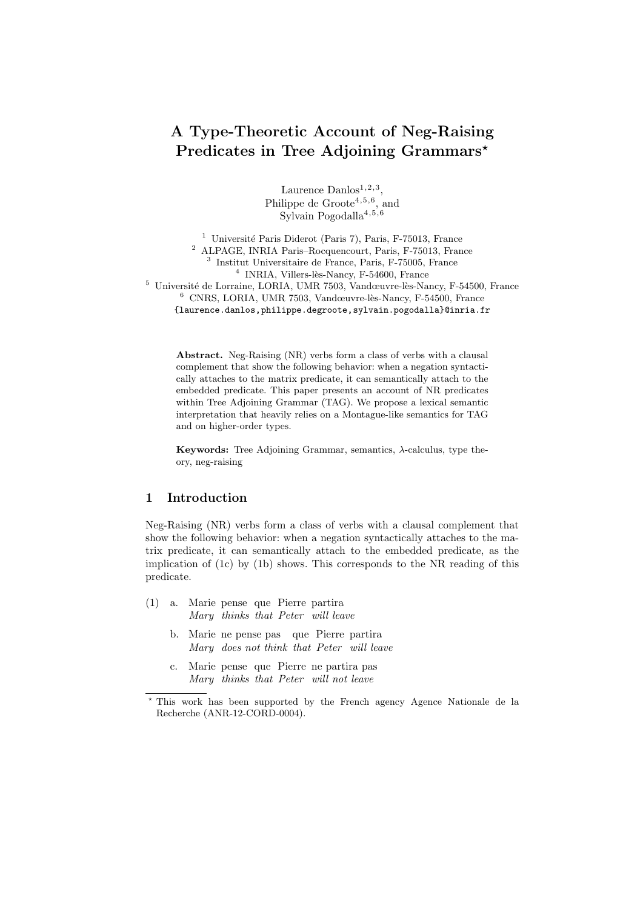# A Type-Theoretic Account of Neg-Raising Predicates in Tree Adjoining Grammars\*

Laurence  $Danlos<sup>1,2,3</sup>$ , Philippe de  $G$ roote<sup>4,5,6</sup>, and Sylvain Pogodalla<sup>4,5,6</sup>

<sup>1</sup> Université Paris Diderot (Paris 7), Paris, F-75013, France <sup>2</sup> ALPAGE, INRIA Paris–Rocquencourt, Paris, F-75013, France 3 Institut Universitaire de France, Paris, F-75005, France <sup>4</sup> INRIA, Villers-lès-Nancy, F-54600, France  $5$  Université de Lorraine, LORIA, UMR 7503, Vandœuvre-lès-Nancy, F-54500, France  $6$  CNRS, LORIA, UMR 7503, Vandœuvre-lès-Nancy, F-54500, France {laurence.danlos,philippe.degroote,sylvain.pogodalla}@inria.fr

Abstract. Neg-Raising (NR) verbs form a class of verbs with a clausal complement that show the following behavior: when a negation syntactically attaches to the matrix predicate, it can semantically attach to the embedded predicate. This paper presents an account of NR predicates within Tree Adjoining Grammar (TAG). We propose a lexical semantic interpretation that heavily relies on a Montague-like semantics for TAG and on higher-order types.

Keywords: Tree Adjoining Grammar, semantics, λ-calculus, type theory, neg-raising

# 1 Introduction

Neg-Raising (NR) verbs form a class of verbs with a clausal complement that show the following behavior: when a negation syntactically attaches to the matrix predicate, it can semantically attach to the embedded predicate, as the implication of (1c) by (1b) shows. This corresponds to the NR reading of this predicate.

- (1) a. Marie pense que Pierre partira Mary thinks that Peter will leave
	- b. Marie ne pense pas que Pierre partira Mary does not think that Peter will leave
	- c. Marie pense que Pierre ne partira pas Mary thinks that Peter will not leave

<sup>?</sup> This work has been supported by the French agency Agence Nationale de la Recherche (ANR-12-CORD-0004).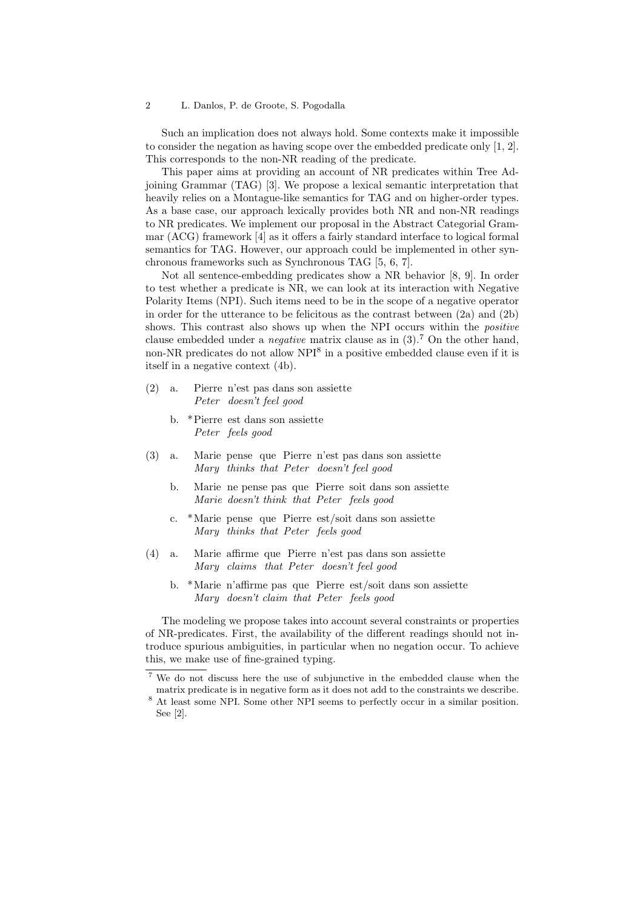Such an implication does not always hold. Some contexts make it impossible to consider the negation as having scope over the embedded predicate only [1, 2]. This corresponds to the non-NR reading of the predicate.

This paper aims at providing an account of NR predicates within Tree Adjoining Grammar (TAG) [3]. We propose a lexical semantic interpretation that heavily relies on a Montague-like semantics for TAG and on higher-order types. As a base case, our approach lexically provides both NR and non-NR readings to NR predicates. We implement our proposal in the Abstract Categorial Grammar (ACG) framework [4] as it offers a fairly standard interface to logical formal semantics for TAG. However, our approach could be implemented in other synchronous frameworks such as Synchronous TAG [5, 6, 7].

Not all sentence-embedding predicates show a NR behavior [8, 9]. In order to test whether a predicate is NR, we can look at its interaction with Negative Polarity Items (NPI). Such items need to be in the scope of a negative operator in order for the utterance to be felicitous as the contrast between  $(2a)$  and  $(2b)$ shows. This contrast also shows up when the NPI occurs within the *positive* clause embedded under a *negative* matrix clause as in  $(3)$ .<sup>7</sup> On the other hand, non-NR predicates do not allow NPI<sup>8</sup> in a positive embedded clause even if it is itself in a negative context (4b).

- (2) a. Pierre n'est pas dans son assiette Peter doesn't feel good
	- b. \*Pierre est dans son assiette Peter feels good
- $(3)$  a. Mary thinks that Peter doesn't feel good pense que Pierre n'est pas dans son assiette
	- b. Marie ne pense pas que Pierre soit dans son assiette Marie doesn't think that Peter feels good
	- c. \*Marie pense que Pierre est/soit dans son assiette Mary thinks that Peter feels good
- $(4)$  a. Mary claims that Peter doesn't feel good affirme que Pierre n'est pas dans son assiette
	- b. \*Marie n'affirme pas que Pierre est/soit dans son assiette Mary doesn't claim that Peter feels good

The modeling we propose takes into account several constraints or properties of NR-predicates. First, the availability of the different readings should not introduce spurious ambiguities, in particular when no negation occur. To achieve this, we make use of fine-grained typing.

<sup>7</sup> We do not discuss here the use of subjunctive in the embedded clause when the matrix predicate is in negative form as it does not add to the constraints we describe.

<sup>8</sup> At least some NPI. Some other NPI seems to perfectly occur in a similar position. See [2].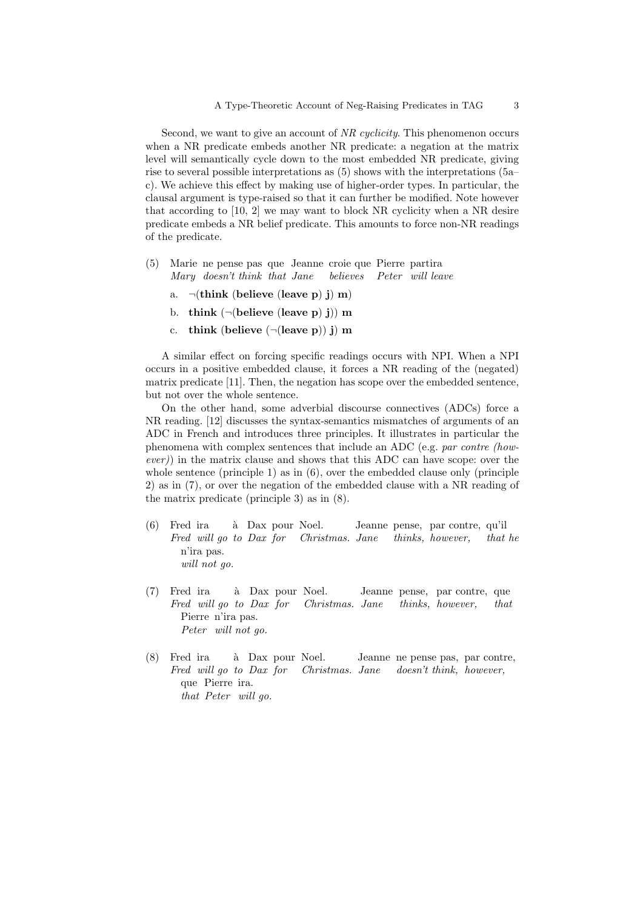Second, we want to give an account of NR cyclicity. This phenomenon occurs when a NR predicate embeds another NR predicate: a negation at the matrix level will semantically cycle down to the most embedded NR predicate, giving rise to several possible interpretations as (5) shows with the interpretations (5a– c). We achieve this effect by making use of higher-order types. In particular, the clausal argument is type-raised so that it can further be modified. Note however that according to [10, 2] we may want to block NR cyclicity when a NR desire predicate embeds a NR belief predicate. This amounts to force non-NR readings of the predicate.

- (5) Marie ne pense pas que Jeanne croie que Pierre partira Mary doesn't think that Jane believes Peter will leave
	- a.  $\neg$ (think (believe (leave p) j) m)
	- b. think  $(\neg(\text{believe} (\text{leave } p) j))$  m
	- c. think (believe  $(\neg(\text{leave }p))$  j) m

A similar effect on forcing specific readings occurs with NPI. When a NPI occurs in a positive embedded clause, it forces a NR reading of the (negated) matrix predicate [11]. Then, the negation has scope over the embedded sentence, but not over the whole sentence.

On the other hand, some adverbial discourse connectives (ADCs) force a NR reading. [12] discusses the syntax-semantics mismatches of arguments of an ADC in French and introduces three principles. It illustrates in particular the phenomena with complex sentences that include an ADC (e.g. par contre (however)) in the matrix clause and shows that this ADC can have scope: over the whole sentence (principle 1) as in  $(6)$ , over the embedded clause only (principle 2) as in (7), or over the negation of the embedded clause with a NR reading of the matrix predicate (principle 3) as in (8).

- (6) Fred ira Fred will go to Dax for Christmas. Jane à Dax pour Noel. Jeanne pense, par contre, qu'il thinks, however, that he n'ira pas. will not go.
- (7) Fred ira Fred will go to Dax for à Dax pour Noel. Christmas. Jane Jeanne pense, par contre, que thinks, however, that Pierre n'ira pas. Peter will not go.
- (8) Fred ira Fred will go to Dax for à Dax pour Noel. Christmas. Jane Jeanne ne pense pas, par contre, doesn't think, however, que Pierre ira. that Peter will go.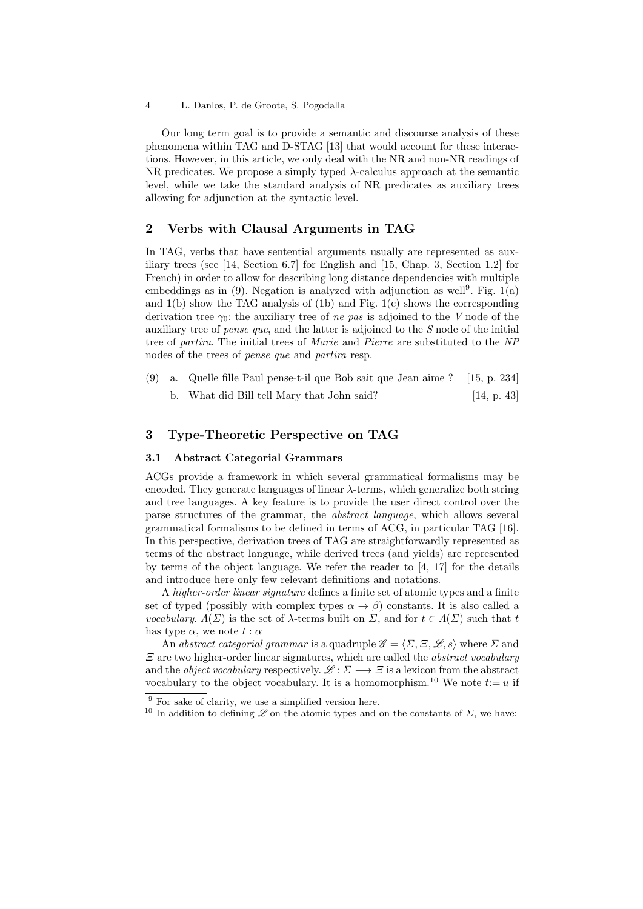Our long term goal is to provide a semantic and discourse analysis of these phenomena within TAG and D-STAG [13] that would account for these interactions. However, in this article, we only deal with the NR and non-NR readings of NR predicates. We propose a simply typed  $\lambda$ -calculus approach at the semantic level, while we take the standard analysis of NR predicates as auxiliary trees allowing for adjunction at the syntactic level.

# 2 Verbs with Clausal Arguments in TAG

In TAG, verbs that have sentential arguments usually are represented as auxiliary trees (see [14, Section 6.7] for English and [15, Chap. 3, Section 1.2] for French) in order to allow for describing long distance dependencies with multiple embeddings as in  $(9)$ . Negation is analyzed with adjunction as well<sup>9</sup>. Fig. 1(a) and 1(b) show the TAG analysis of (1b) and Fig. 1(c) shows the corresponding derivation tree  $\gamma_0$ : the auxiliary tree of *ne pas* is adjoined to the V node of the auxiliary tree of *pense que*, and the latter is adjoined to the  $S$  node of the initial tree of partira. The initial trees of Marie and Pierre are substituted to the NP nodes of the trees of pense que and partira resp.

- (9) a. Quelle fille Paul pense-t-il que Bob sait que Jean aime ?  $[15, p. 234]$ 
	- b. What did Bill tell Mary that John said? [14, p. 43]

# 3 Type-Theoretic Perspective on TAG

### 3.1 Abstract Categorial Grammars

ACGs provide a framework in which several grammatical formalisms may be encoded. They generate languages of linear  $\lambda$ -terms, which generalize both string and tree languages. A key feature is to provide the user direct control over the parse structures of the grammar, the abstract language, which allows several grammatical formalisms to be defined in terms of ACG, in particular TAG [16]. In this perspective, derivation trees of TAG are straightforwardly represented as terms of the abstract language, while derived trees (and yields) are represented by terms of the object language. We refer the reader to [4, 17] for the details and introduce here only few relevant definitions and notations.

A higher-order linear signature defines a finite set of atomic types and a finite set of typed (possibly with complex types  $\alpha \to \beta$ ) constants. It is also called a vocabulary.  $\Lambda(\Sigma)$  is the set of  $\lambda$ -terms built on  $\Sigma$ , and for  $t \in \Lambda(\Sigma)$  such that t has type  $\alpha$ , we note  $t : \alpha$ 

An abstract categorial grammar is a quadruple  $\mathscr{G} = \langle \Sigma, \Xi, \mathscr{L}, s \rangle$  where  $\Sigma$  and  $\Xi$  are two higher-order linear signatures, which are called the *abstract vocabulary* and the *object vocabulary* respectively.  $\mathscr{L} : \Sigma \longrightarrow \Xi$  is a lexicon from the abstract vocabulary to the object vocabulary. It is a homomorphism.<sup>10</sup> We note  $t:=u$  if

<sup>&</sup>lt;sup>9</sup> For sake of clarity, we use a simplified version here.

<sup>&</sup>lt;sup>10</sup> In addition to defining  $\mathscr L$  on the atomic types and on the constants of  $\Sigma$ , we have: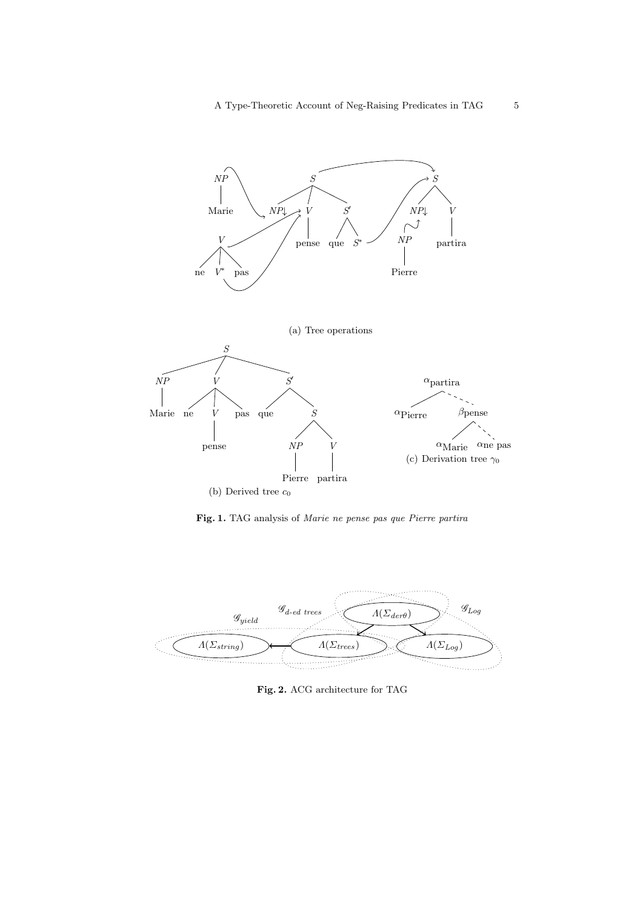

Fig. 1. TAG analysis of Marie ne pense pas que Pierre partira



Fig. 2. ACG architecture for TAG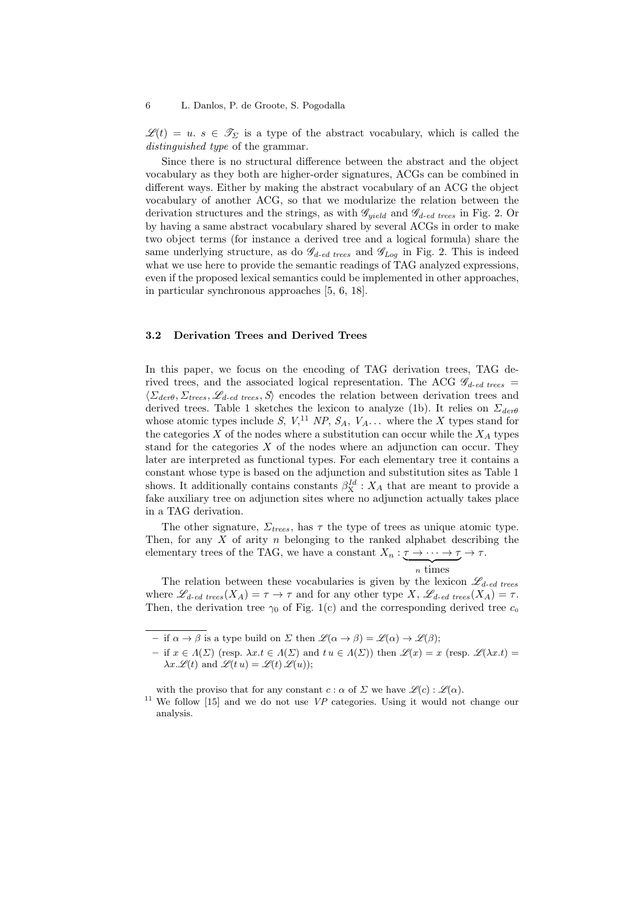$\mathscr{L}(t) = u$ .  $s \in \mathscr{T}_{\Sigma}$  is a type of the abstract vocabulary, which is called the distinguished type of the grammar.

Since there is no structural difference between the abstract and the object vocabulary as they both are higher-order signatures, ACGs can be combined in different ways. Either by making the abstract vocabulary of an ACG the object vocabulary of another ACG, so that we modularize the relation between the derivation structures and the strings, as with  $\mathcal{G}_{yield}$  and  $\mathcal{G}_{d-ed \ trees}$  in Fig. 2. Or by having a same abstract vocabulary shared by several ACGs in order to make two object terms (for instance a derived tree and a logical formula) share the same underlying structure, as do  $\mathscr{G}_{d-ed \ trees}$  and  $\mathscr{G}_{Log}$  in Fig. 2. This is indeed what we use here to provide the semantic readings of TAG analyzed expressions, even if the proposed lexical semantics could be implemented in other approaches, in particular synchronous approaches [5, 6, 18].

### 3.2 Derivation Trees and Derived Trees

In this paper, we focus on the encoding of TAG derivation trees, TAG derived trees, and the associated logical representation. The ACG  $\mathscr{G}_{d-ed \ trees} =$  $\langle \Sigma_{\text{der}} \theta, \Sigma_{\text{trees}}, \mathcal{L}_{d-\text{ed trees}}, \mathcal{S} \rangle$  encodes the relation between derivation trees and derived trees. Table 1 sketches the lexicon to analyze (1b). It relies on  $\Sigma_{der\theta}$ whose atomic types include S,  $V<sup>11</sup>$  NP,  $S<sub>A</sub>$ ,  $V<sub>A</sub>$ ... where the X types stand for the categories  $X$  of the nodes where a substitution can occur while the  $X_A$  types stand for the categories  $X$  of the nodes where an adjunction can occur. They later are interpreted as functional types. For each elementary tree it contains a constant whose type is based on the adjunction and substitution sites as Table 1 shows. It additionally contains constants  $\beta_{\mathbf{X}}^{Id}: X_A$  that are meant to provide a fake auxiliary tree on adjunction sites where no adjunction actually takes place in a TAG derivation.

The other signature,  $\Sigma_{trees}$ , has  $\tau$  the type of trees as unique atomic type. Then, for any  $X$  of arity  $n$  belonging to the ranked alphabet describing the elementary trees of the TAG, we have a constant  $X_n : \tau \to \cdots \to \tau \to \tau$ .

$$
n \times \text{times}
$$

The relation between these vocabularies is given by the lexicon  $\mathscr{L}_{d-ed \ trees}$ where  $\mathscr{L}_{d-\text{ed trees}}(X_A) = \tau \to \tau$  and for any other type  $X$ ,  $\mathscr{L}_{d-\text{ed trees}}(X_A) = \tau$ . Then, the derivation tree  $\gamma_0$  of Fig. 1(c) and the corresponding derived tree  $c_0$ 

– if  $\alpha \to \beta$  is a type build on  $\Sigma$  then  $\mathscr{L}(\alpha \to \beta) = \mathscr{L}(\alpha) \to \mathscr{L}(\beta);$ 

<sup>–</sup> if  $x \in \Lambda(\Sigma)$  (resp.  $\lambda x.t \in \Lambda(\Sigma)$  and  $tu \in \Lambda(\Sigma)$ ) then  $\mathscr{L}(x) = x$  (resp.  $\mathscr{L}(\lambda x.t) =$  $\lambda x.\mathscr{L}(t)$  and  $\mathscr{L}(t u) = \mathscr{L}(t) \mathscr{L}(u)$ ;

with the proviso that for any constant  $c : \alpha$  of  $\Sigma$  we have  $\mathscr{L}(c) : \mathscr{L}(\alpha)$ .

<sup>&</sup>lt;sup>11</sup> We follow [15] and we do not use  $VP$  categories. Using it would not change our analysis.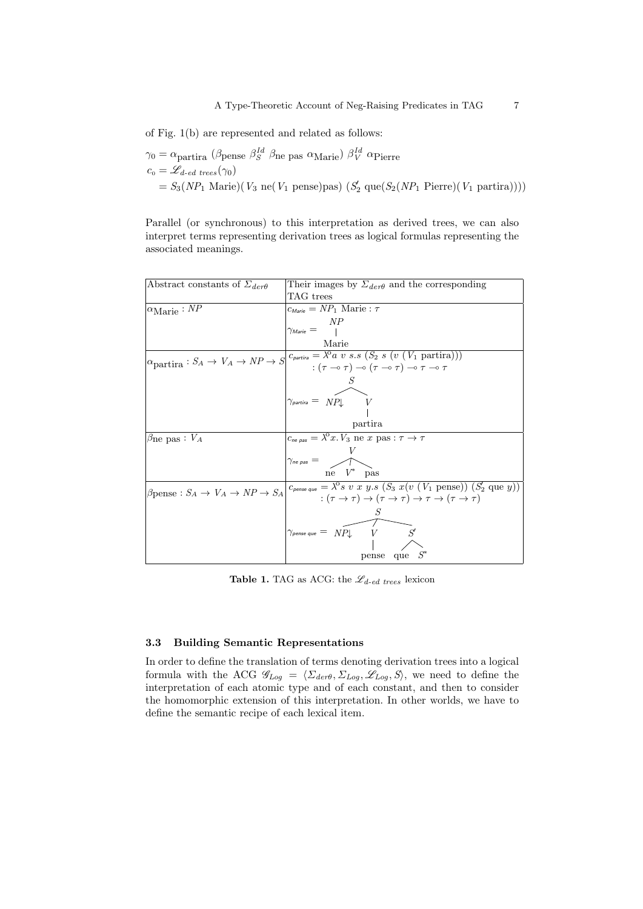of Fig. 1(b) are represented and related as follows:

```
\gamma_0 = \alpha_{\text{partira}} (\beta_{\text{pense}} \beta_S^{Id} \beta_{\text{ne}} pas \alpha_{\text{Marie}}) \beta_V^{Id} \alpha_{\text{Pierre}}c_0 = \mathscr{L}_{d-\text{ed trees}}(\gamma_0)= S_3(NP_1 \text{ Marie})(V_3 \text{ ne}(V_1 \text{ pense})\text{pas}) (S_2 \text{ que}(S_2(NP_1 \text{ Pierre})(V_1 \text{ partira}))))
```
Parallel (or synchronous) to this interpretation as derived trees, we can also interpret terms representing derivation trees as logical formulas representing the associated meanings.

| Abstract constants of $\Sigma_{der\theta}$                                  | Their images by $\Sigma_{der\theta}$ and the corresponding                                                                                                                   |  |
|-----------------------------------------------------------------------------|------------------------------------------------------------------------------------------------------------------------------------------------------------------------------|--|
|                                                                             | TAG trees                                                                                                                                                                    |  |
| $\alpha_{\text{Marie}} : NP$                                                | $c_{\text{Marie}} = NP_1$ Marie : $\tau$                                                                                                                                     |  |
|                                                                             | NP                                                                                                                                                                           |  |
|                                                                             | $\gamma_{\mathit{Marie}} =$                                                                                                                                                  |  |
|                                                                             | Marie                                                                                                                                                                        |  |
| $\alpha_{\text{partira}} : S_A \to V_A \to NP \to S$                        |                                                                                                                                                                              |  |
|                                                                             | $\overline{c_{partira}} = \overline{\lambda^0 a \ v \ s.s} (\overline{S_2} \ s \ (v \ (V_1 \ \text{partira})))$<br>$: (\tau \to \tau) \to (\tau \to \tau) \to \tau \to \tau$ |  |
|                                                                             |                                                                                                                                                                              |  |
|                                                                             |                                                                                                                                                                              |  |
|                                                                             | $\gamma_{\text{partira}} = \ NP \downarrow \qquad V$                                                                                                                         |  |
|                                                                             |                                                                                                                                                                              |  |
|                                                                             | partira                                                                                                                                                                      |  |
| $\beta_{\text{ne pas}} : V_A$                                               | $c_{\text{ne pas}} = \lambda^0 x. V_3$ ne x pas: $\tau \to \tau$                                                                                                             |  |
|                                                                             |                                                                                                                                                                              |  |
|                                                                             | $\gamma_{ne \textit{pas}} =$ $\sqrt{ }$                                                                                                                                      |  |
|                                                                             | ne $V^*$ pas                                                                                                                                                                 |  |
| $\beta_{\text{pense}} : S_A \rightarrow V_A \rightarrow NP \rightarrow S_A$ | $c_{\text{pense que}} = \lambda^0 s \ v \ x \ y.s \ (S_3 \ x(v \ (V_1 \ \text{pense})) \ (S_2 \ \text{que } y))$                                                             |  |
|                                                                             | $:(\tau \to \tau) \to (\tau \to \tau) \to \tau \to (\tau \to \tau)$                                                                                                          |  |
|                                                                             |                                                                                                                                                                              |  |
|                                                                             |                                                                                                                                                                              |  |
|                                                                             | $\gamma_{\textit{\tiny{pense que}}} = \ NP \downarrow \quad V$<br>S'                                                                                                         |  |
|                                                                             |                                                                                                                                                                              |  |
|                                                                             | pense que $S^*$                                                                                                                                                              |  |

**Table 1.** TAG as ACG: the  $\mathcal{L}_{d-ed \ trees}$  lexicon

# 3.3 Building Semantic Representations

In order to define the translation of terms denoting derivation trees into a logical formula with the ACG  $\mathscr{G}_{Log} = \langle \Sigma_{der\theta}, \Sigma_{Log}, \mathscr{L}_{Log}, S \rangle$ , we need to define the interpretation of each atomic type and of each constant, and then to consider the homomorphic extension of this interpretation. In other worlds, we have to define the semantic recipe of each lexical item.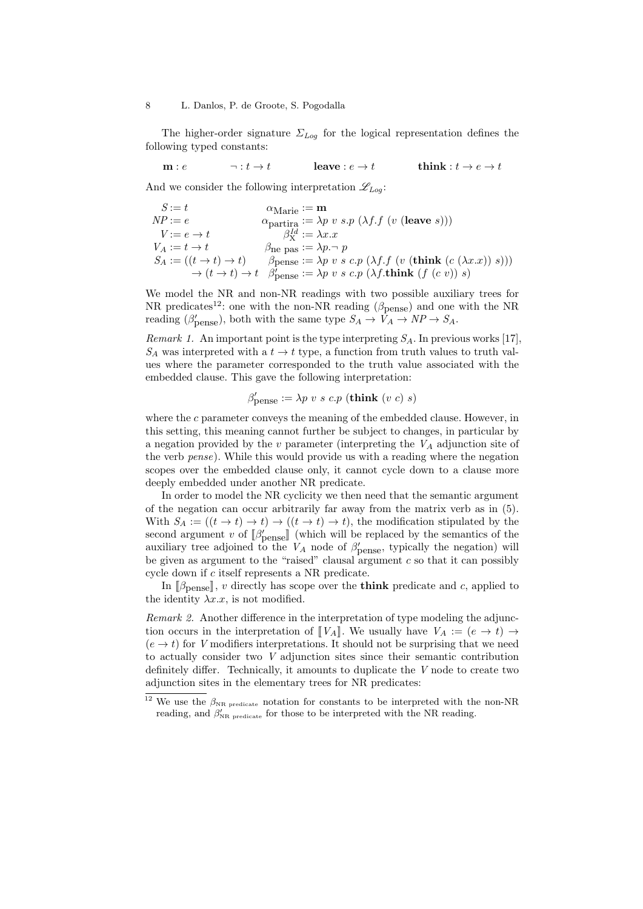The higher-order signature  $\Sigma_{Log}$  for the logical representation defines the following typed constants:

 $m : e \longrightarrow t \longrightarrow t$  leave :  $e \rightarrow t$  think :  $t \rightarrow e \rightarrow t$ 

And we consider the following interpretation  $\mathscr{L}_{Log}$ :

$$
S := t
$$
  
\n
$$
NP := e
$$
  
\n
$$
VP := e \rightarrow t
$$
  
\n
$$
V := e \rightarrow t
$$
  
\n
$$
V_A := t \rightarrow t
$$
  
\n
$$
S_A := ((t \rightarrow t) \rightarrow t) \qquad \beta_{\text{pense}} := \lambda p \cdot v \cdot s \cdot p (\lambda f \cdot f (v (\text{leave } s)))
$$
  
\n
$$
S_A := ((t \rightarrow t) \rightarrow t) \qquad \beta_{\text{pense}} := \lambda p \cdot v \cdot s \cdot c \cdot p (\lambda f \cdot f (v (\text{think } (c (\lambda x \cdot x)) \cdot s)))
$$
  
\n
$$
\rightarrow (t \rightarrow t) \rightarrow t \qquad \beta_{\text{pense}}':= \lambda p \cdot v \cdot s \cdot c \cdot p (\lambda f \cdot \text{think } (f (c v)) \cdot s)
$$

We model the NR and non-NR readings with two possible auxiliary trees for NR predicates<sup>12</sup>: one with the non-NR reading ( $\beta_{\text{pense}}$ ) and one with the NR reading ( $\beta'_{\text{pense}}$ ), both with the same type  $S_A \to \tilde{V}_A \to NP \to S_A$ .

Remark 1. An important point is the type interpreting  $S_A$ . In previous works [17],  $S_A$  was interpreted with a  $t \to t$  type, a function from truth values to truth values where the parameter corresponded to the truth value associated with the embedded clause. This gave the following interpretation:

$$
\beta'_{\text{pense}} := \lambda p \ v \ s \ c.p \ (\text{think} \ (v \ c) \ s)
$$

where the c parameter conveys the meaning of the embedded clause. However, in this setting, this meaning cannot further be subject to changes, in particular by a negation provided by the  $v$  parameter (interpreting the  $V_A$  adjunction site of the verb  $pense$ ). While this would provide us with a reading where the negation scopes over the embedded clause only, it cannot cycle down to a clause more deeply embedded under another NR predicate.

In order to model the NR cyclicity we then need that the semantic argument of the negation can occur arbitrarily far away from the matrix verb as in (5). With  $S_A := ((t \to t) \to t) \to ((t \to t) \to t)$ , the modification stipulated by the second argument v of  $\lbrack \beta'_{\text{pense}} \rbrack$  (which will be replaced by the semantics of the auxiliary tree adjoined to the  $V_A$  node of  $\beta'_{\text{pense}}$ , typically the negation) will be given as argument to the "raised" clausal argument  $c$  so that it can possibly cycle down if c itself represents a NR predicate.

In  $\beta_{\text{pense}}$ , v directly has scope over the **think** predicate and c, applied to the identity  $\lambda x.x$ , is not modified.

Remark 2. Another difference in the interpretation of type modeling the adjunction occurs in the interpretation of  $\llbracket V_A \rrbracket$ . We usually have  $V_A := (e \to t) \to$  $(e \rightarrow t)$  for V modifiers interpretations. It should not be surprising that we need to actually consider two V adjunction sites since their semantic contribution definitely differ. Technically, it amounts to duplicate the V node to create two adjunction sites in the elementary trees for NR predicates:

 $^{12}$  We use the  $\beta_{\rm NR\,\,predicate}$  notation for constants to be interpreted with the non-NR reading, and  $\beta'_{\text{NR predicate}}$  for those to be interpreted with the NR reading.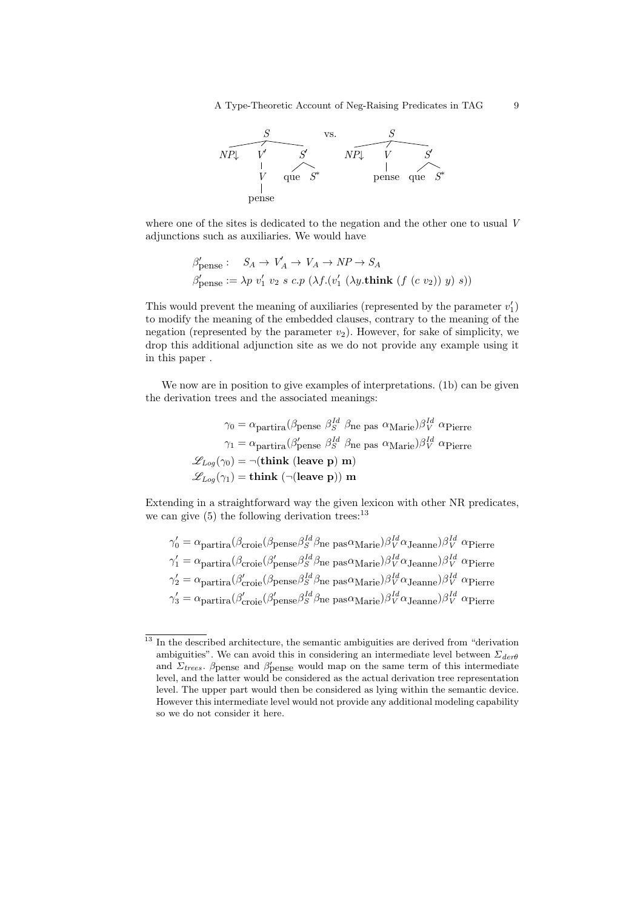A Type-Theoretic Account of Neg-Raising Predicates in TAG 9



where one of the sites is dedicated to the negation and the other one to usual V adjunctions such as auxiliaries. We would have

$$
\beta'_{\text{pense}}: S_A \to V'_A \to V_A \to NP \to S_A
$$
  

$$
\beta'_{\text{pense}} := \lambda p \ v'_1 \ v_2 \ s \ c.p \ (\lambda f.(v'_1 \ (\lambda y.\text{think } (f (c v_2)) \ y) \ s))
$$

This would prevent the meaning of auxiliaries (represented by the parameter  $v_1'$ ) to modify the meaning of the embedded clauses, contrary to the meaning of the negation (represented by the parameter  $v_2$ ). However, for sake of simplicity, we drop this additional adjunction site as we do not provide any example using it in this paper .

We now are in position to give examples of interpretations. (1b) can be given the derivation trees and the associated meanings:

$$
\gamma_0 = \alpha_{\text{partira}} (\beta_{\text{pense}} \ \beta_S^{Id} \ \beta_{\text{ne}} \ \text{pas} \ \alpha_{\text{Marie}}) \beta_V^{Id} \ \alpha_{\text{Pierre}}
$$
\n
$$
\gamma_1 = \alpha_{\text{partira}} (\beta_{\text{pense}}' \ \beta_S^{Id} \ \beta_{\text{ne}} \ \text{pas} \ \alpha_{\text{Marie}}) \beta_V^{Id} \ \alpha_{\text{Pierre}}
$$
\n
$$
\mathcal{L}_{Log}(\gamma_0) = \neg(\text{think } (\text{leave p}) \ \text{m})
$$
\n
$$
\mathcal{L}_{Log}(\gamma_1) = \text{think } (\neg(\text{leave p})) \ \text{m}
$$

Extending in a straightforward way the given lexicon with other NR predicates, we can give  $(5)$  the following derivation trees:<sup>13</sup>

Id

$$
\gamma_0' = \alpha_{\text{partira}} (\beta_{\text{croie}} (\beta_{\text{pense}} \beta_S^{Id} \beta_{\text{ne}} \text{ pas}\alpha_{\text{Marie}}) \beta_V^{Id} \alpha_{\text{Jeanne}}) \beta_V^{Id} \alpha_{\text{Pierre}}
$$
  
\n
$$
\gamma_1' = \alpha_{\text{partira}} (\beta_{\text{croie}} (\beta_{\text{pense}}' \beta_S^{Id} \beta_{\text{ne}} \text{ pas}\alpha_{\text{Marie}}) \beta_V^{Id} \alpha_{\text{Jeanne}}) \beta_V^{Id} \alpha_{\text{Pierre}}
$$
  
\n
$$
\gamma_2' = \alpha_{\text{partira}} (\beta_{\text{croie}}' (\beta_{\text{pense}}' \beta_S^{Id} \beta_{\text{ne}} \text{ pas}\alpha_{\text{Marie}}) \beta_V^{Id} \alpha_{\text{Jeanne}}) \beta_V^{Id} \alpha_{\text{Pierre}}
$$
  
\n
$$
\gamma_3' = \alpha_{\text{partira}} (\beta_{\text{croie}}' (\beta_{\text{pense}}' \beta_S^{Id} \beta_{\text{ne}} \text{ pas}\alpha_{\text{Marie}}) \beta_V^{Id} \alpha_{\text{Jeanne}}) \beta_V^{Id} \alpha_{\text{Pierre}}
$$

 $\frac{13}{13}$  In the described architecture, the semantic ambiguities are derived from "derivation" ambiguities". We can avoid this in considering an intermediate level between  $\Sigma_{der\theta}$ and  $\Sigma_{trees}$ . β pense and β pense would map on the same term of this intermediate level, and the latter would be considered as the actual derivation tree representation level. The upper part would then be considered as lying within the semantic device. However this intermediate level would not provide any additional modeling capability so we do not consider it here.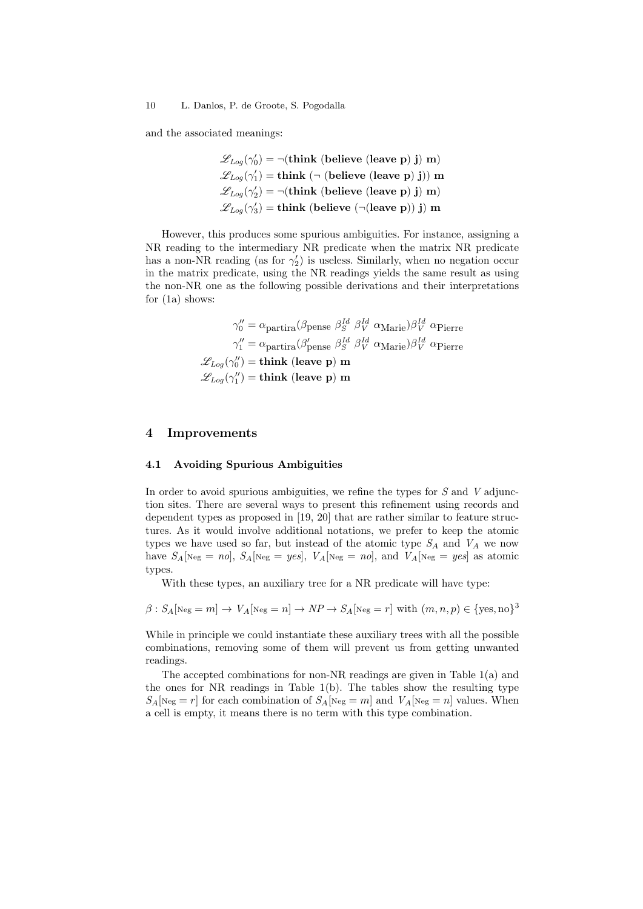and the associated meanings:

$$
\mathcal{L}_{Log}(\gamma'_0) = \neg(\text{think} \text{ (believe (leave p) j) m})
$$

$$
\mathcal{L}_{Log}(\gamma'_1) = \text{think} \ (\neg \text{ (believe (leave p) j) m})
$$

$$
\mathcal{L}_{Log}(\gamma'_2) = \neg(\text{think} \text{ (believe (leave p) j) m})
$$

$$
\mathcal{L}_{Log}(\gamma'_3) = \text{think} \text{ (believe } (\neg(\text{leave p})) j) m
$$

However, this produces some spurious ambiguities. For instance, assigning a NR reading to the intermediary NR predicate when the matrix NR predicate has a non-NR reading (as for  $\gamma'_2$ ) is useless. Similarly, when no negation occur in the matrix predicate, using the NR readings yields the same result as using the non-NR one as the following possible derivations and their interpretations for (1a) shows:

$$
\gamma_0'' = \alpha_{\text{partira}} (\beta_{\text{pense}} \beta_S^{Id} \beta_V^{Id} \alpha_{\text{Marie}}) \beta_V^{Id} \alpha_{\text{Pierre}}
$$

$$
\gamma_1'' = \alpha_{\text{partira}} (\beta_{\text{pense}}' \beta_S^{Id} \beta_V^{Id} \alpha_{\text{Marie}}) \beta_V^{Id} \alpha_{\text{Pierre}}
$$

$$
\mathcal{L}_{Log}(\gamma_0'') = \text{think (leave p) m}
$$

$$
\mathcal{L}_{Log}(\gamma_1'') = \text{think (leave p) m}
$$

# 4 Improvements

### 4.1 Avoiding Spurious Ambiguities

In order to avoid spurious ambiguities, we refine the types for  $S$  and  $V$  adjunction sites. There are several ways to present this refinement using records and dependent types as proposed in [19, 20] that are rather similar to feature structures. As it would involve additional notations, we prefer to keep the atomic types we have used so far, but instead of the atomic type  $S_A$  and  $V_A$  we now have  $S_A[\text{Neg} = \text{no}], S_A[\text{Neg} = \text{yes}], V_A[\text{Neg} = \text{no}], \text{and } V_A[\text{Neg} = \text{yes}]$  as atomic types.

With these types, an auxiliary tree for a NR predicate will have type:

$$
\beta : S_A[\text{Neg} = m] \to V_A[\text{Neg} = n] \to NP \to S_A[\text{Neg} = r] \text{ with } (m, n, p) \in \{\text{yes}, \text{no}\}^3
$$

While in principle we could instantiate these auxiliary trees with all the possible combinations, removing some of them will prevent us from getting unwanted readings.

The accepted combinations for non-NR readings are given in Table 1(a) and the ones for NR readings in Table 1(b). The tables show the resulting type  $S_A[\text{Neg}=r]$  for each combination of  $S_A[\text{Neg}=m]$  and  $V_A[\text{Neg}=n]$  values. When a cell is empty, it means there is no term with this type combination.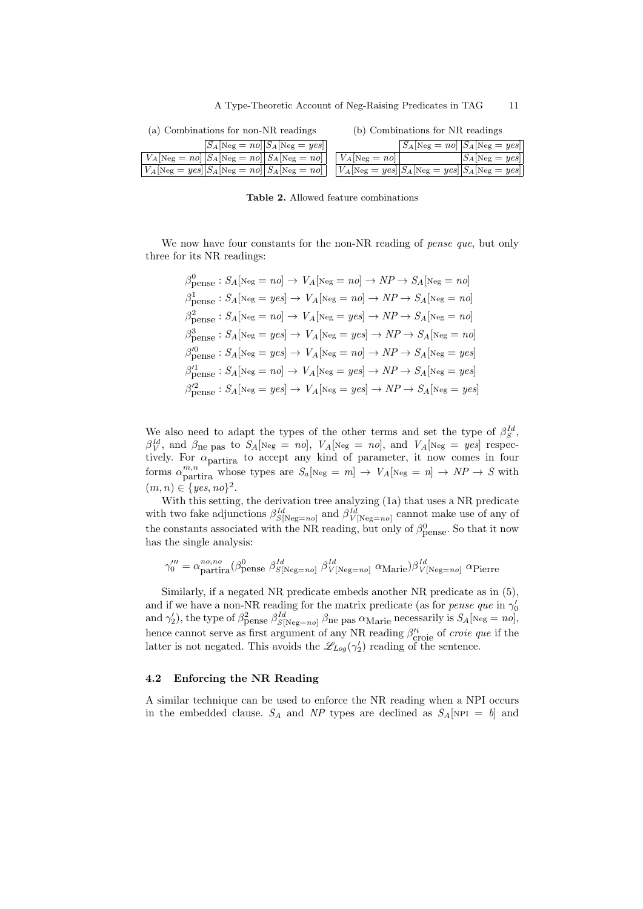| (a) Combinations for non-NR readings | $(b)$ Com |
|--------------------------------------|-----------|
| $S_A$ [Neg = no] $S_A$ [Neg = yes]   |           |

| (a) Combinations for non-NR readings                                                                                                                                                                                                                                                                                                                                                                                                                      | (b) Combinations for NR readings                                      |  |
|-----------------------------------------------------------------------------------------------------------------------------------------------------------------------------------------------------------------------------------------------------------------------------------------------------------------------------------------------------------------------------------------------------------------------------------------------------------|-----------------------------------------------------------------------|--|
| $\overline{S_A[\text{Neg} = \textit{no}][S_A[\text{Neg} = \textit{yes}]]}$                                                                                                                                                                                                                                                                                                                                                                                | $S_A$ [Neg = no] $S_A$ [Neg = yes]                                    |  |
| $V_A[\text{Neg} = n0   S_A[\text{Neg} = n0   S_A[\text{Neg} = n0   S_A[\text{Neg} = n0   S_A[\text{Neg} = n0   S_A[\text{Neg} = n0   S_A[\text{Neg} = n0   S_A[\text{Neg} = n0   S_A[\text{Neg} = n0   S_A[\text{Neg} = n0   S_A[\text{Neg} = n0   S_A[\text{Neg} = n0   S_A[\text{Neg} = n0   S_A[\text{Neg} = n0   S_A[\text{Neg} = n0   S_A[\text{Neg} = n0   S_A[\text{Neg} = n0   S_A[\text{Neg} = n0   S_A[\text{Neg} = n0   S_A[\text{Neg} = n0  $ | $ S_A[\text{Neg} = yes] $                                             |  |
| $V_A[\text{Neg} = yes] \big  S_A[\text{Neg} = no] \big  S_A[\text{Neg} = no] \big $                                                                                                                                                                                                                                                                                                                                                                       | $ V_A[\text{Neg} = yes] S_A[\text{Neg} = yes] S_A[\text{Neg} = yes] $ |  |

Table 2. Allowed feature combinations

We now have four constants for the non-NR reading of *pense que*, but only three for its NR readings:

$$
\beta_{\text{pense}}^0 : S_A[\text{Neg} = n_o] \rightarrow V_A[\text{Neg} = n_o] \rightarrow NP \rightarrow S_A[\text{Neg} = n_o]
$$
  

$$
\beta_{\text{pense}}^1 : S_A[\text{Neg} = yes] \rightarrow V_A[\text{Neg} = n_o] \rightarrow NP \rightarrow S_A[\text{Neg} = n_o]
$$
  

$$
\beta_{\text{pense}}^2 : S_A[\text{Neg} = n_o] \rightarrow V_A[\text{Neg} = yes] \rightarrow NP \rightarrow S_A[\text{Neg} = n_o]
$$
  

$$
\beta_{\text{pense}}^3 : S_A[\text{Neg} = yes] \rightarrow V_A[\text{Neg} = yes] \rightarrow NP \rightarrow S_A[\text{Neg} = no]
$$
  

$$
\beta_{\text{pense}}'^0 : S_A[\text{Neg} = yes] \rightarrow V_A[\text{Neg} = no] \rightarrow NP \rightarrow S_A[\text{Neg} = yes]
$$
  

$$
\beta_{\text{pense}}'^2 : S_A[\text{Neg} = no] \rightarrow V_A[\text{Neg} = yes] \rightarrow NP \rightarrow S_A[\text{Neg} = yes]
$$

We also need to adapt the types of the other terms and set the type of  $\beta_S^{Id}$ ,  $\beta_V^{Id}$ , and  $\beta_{\text{ne}}$  pas to  $S_A[\text{Neg} = \text{no}]$ ,  $V_A[\text{Neg} = \text{no}]$ , and  $V_A[\text{Neg} = \text{yes}]$  respectively. For  $\alpha_{\text{partira}}$  to accept any kind of parameter, it now comes in four forms  $\alpha_{\text{partira}}^{m,n}$  whose types are  $S_a[\text{Neg} = m] \rightarrow V_A[\text{Neg} = n] \rightarrow NP \rightarrow S$  with  $(m, n) \in \{yes, no\}^2$ .

With this setting, the derivation tree analyzing (1a) that uses a NR predicate with two fake adjunctions  $\beta_{S[\text{Neg}=no]}^{Id}$  and  $\beta_{V[\text{Neg}=no]}^{Id}$  cannot make use of any of the constants associated with the NR reading, but only of  $\beta_{\text{pense}}^0$ . So that it now has the single analysis:

$$
\gamma_0''' = \alpha_{\text{partira}}^{no,no} (\beta_{\text{pense}}^0 \beta_{S[\text{Neg}=no]}^{Id} \beta_{V[\text{Neg}=no]}^{Id} \alpha_{\text{Marie}}) \beta_{V[\text{Neg}=no]}^{Id} \alpha_{\text{Pierre}}
$$

Similarly, if a negated NR predicate embeds another NR predicate as in (5), and if we have a non-NR reading for the matrix predicate (as for *pense que* in  $\gamma'_0$ and  $\gamma'_2$ ), the type of  $\beta_{\text{Pense}}^2 \beta_{S[\text{Neg}=no]}^{\text{Id}}$   $\beta_{\text{ne}}$  pas  $\alpha_{\text{Marie}}$  necessarily is  $S_A[\text{Neg}=no]$ , hence cannot serve as first argument of any NR reading  $\beta_{\text{cropic}}^{i_i}$  of *croie que* if the latter is not negated. This avoids the  $\mathscr{L}_{Log}(\gamma'_2)$  reading of the sentence.

### 4.2 Enforcing the NR Reading

A similar technique can be used to enforce the NR reading when a NPI occurs in the embedded clause.  $S_A$  and NP types are declined as  $S_A$ [NPI = b] and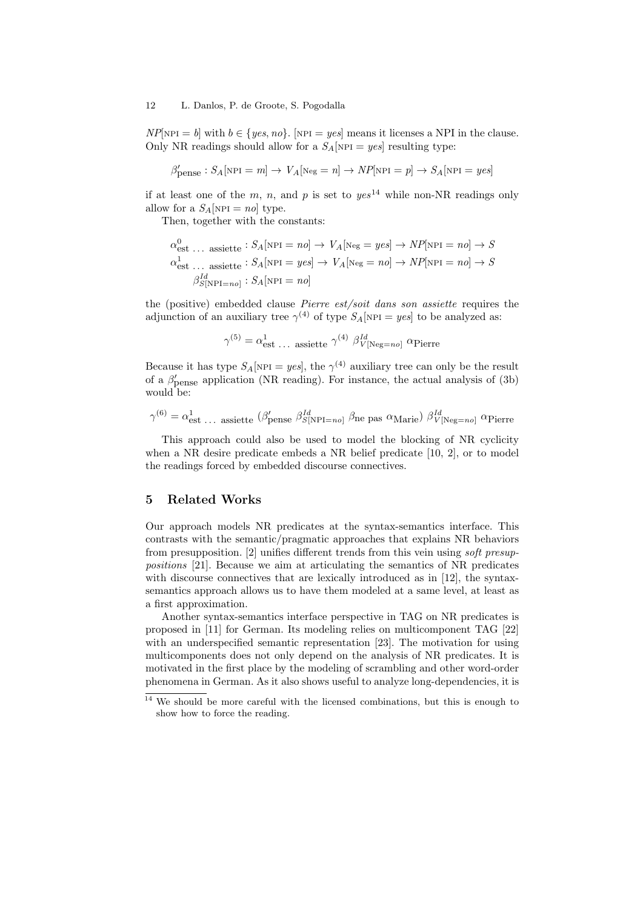$NP[\text{NPI} = b]$  with  $b \in \{yes, no\}$ . [NPI = yes] means it licenses a NPI in the clause. Only NR readings should allow for a  $S_A$ [NPI = yes] resulting type:

$$
\beta'_{\text{pense}}: S_A[\text{nPI} = m] \rightarrow V_A[\text{Neg} = n] \rightarrow NP[\text{nPI} = p] \rightarrow S_A[\text{nPI} = yes]
$$

if at least one of the m, n, and p is set to  $yes^{14}$  while non-NR readings only allow for a  $S_A$ [NPI = no] type.

Then, together with the constants:

$$
\alpha_{\text{est}}^{0} \dots \text{ assistte}: S_A[\text{NPI} = n0] \to V_A[\text{Neg} = yes] \to NP[\text{NPI} = n0] \to S
$$
  

$$
\alpha_{\text{est}}^{1} \dots \text{ assistte}: S_A[\text{NPI} = yes] \to V_A[\text{Neg} = n0] \to NP[\text{NPI} = n0] \to S
$$
  

$$
\beta_{S[\text{NPI} = n0]}^{Id}: S_A[\text{NPI} = n0]
$$

the (positive) embedded clause Pierre est/soit dans son assiette requires the adjunction of an auxiliary tree  $\gamma^{(4)}$  of type  $S_A[\text{NPI} = yes]$  to be analyzed as:

$$
\gamma^{(5)} = \alpha_{\rm est}^1 \dots \text{ assistte } \gamma^{(4)} \beta_{V[\text{Neg}=no]}^{Id} \alpha_{\rm Pierre}
$$

Because it has type  $S_A[\text{NPI} = yes]$ , the  $\gamma^{(4)}$  auxiliary tree can only be the result of a  $\beta'_{\text{pense}}$  application (NR reading). For instance, the actual analysis of (3b) would be:

$$
\gamma^{(6)} = \alpha_{\text{est}}^1 \dots \text{ assistte } (\beta_{\text{pense}}')^{\text{Id}} \beta_{\text{S[NPI = no}}^{\text{Id}} \beta_{\text{ne}} \text{ pas } \alpha_{\text{Marie}}) \beta_{V[\text{Neg = no}}^{\text{Id}} \alpha_{\text{Pierre}}
$$

This approach could also be used to model the blocking of NR cyclicity when a NR desire predicate embeds a NR belief predicate [10, 2], or to model the readings forced by embedded discourse connectives.

### 5 Related Works

Our approach models NR predicates at the syntax-semantics interface. This contrasts with the semantic/pragmatic approaches that explains NR behaviors from presupposition. [2] unifies different trends from this vein using soft presuppositions [21]. Because we aim at articulating the semantics of NR predicates with discourse connectives that are lexically introduced as in [12], the syntaxsemantics approach allows us to have them modeled at a same level, at least as a first approximation.

Another syntax-semantics interface perspective in TAG on NR predicates is proposed in [11] for German. Its modeling relies on multicomponent TAG [22] with an underspecified semantic representation [23]. The motivation for using multicomponents does not only depend on the analysis of NR predicates. It is motivated in the first place by the modeling of scrambling and other word-order phenomena in German. As it also shows useful to analyze long-dependencies, it is

<sup>14</sup> We should be more careful with the licensed combinations, but this is enough to show how to force the reading.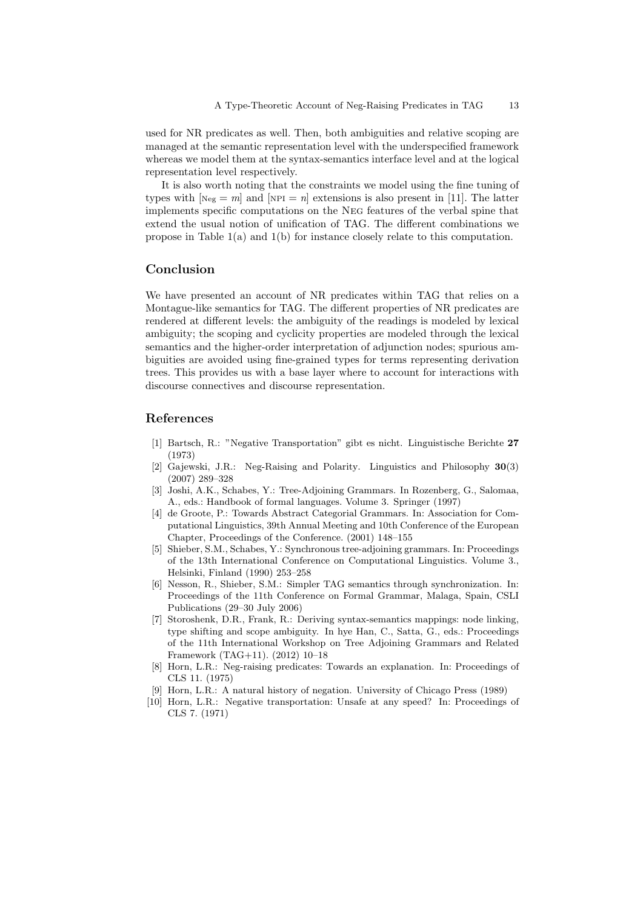used for NR predicates as well. Then, both ambiguities and relative scoping are managed at the semantic representation level with the underspecified framework whereas we model them at the syntax-semantics interface level and at the logical representation level respectively.

It is also worth noting that the constraints we model using the fine tuning of types with  $[\text{Neg} = m]$  and  $[\text{NPI} = n]$  extensions is also present in [11]. The latter implements specific computations on the Neg features of the verbal spine that extend the usual notion of unification of TAG. The different combinations we propose in Table  $1(a)$  and  $1(b)$  for instance closely relate to this computation.

# Conclusion

We have presented an account of NR predicates within TAG that relies on a Montague-like semantics for TAG. The different properties of NR predicates are rendered at different levels: the ambiguity of the readings is modeled by lexical ambiguity; the scoping and cyclicity properties are modeled through the lexical semantics and the higher-order interpretation of adjunction nodes; spurious ambiguities are avoided using fine-grained types for terms representing derivation trees. This provides us with a base layer where to account for interactions with discourse connectives and discourse representation.

# References

- [1] Bartsch, R.: "Negative Transportation" gibt es nicht. Linguistische Berichte 27 (1973)
- [2] Gajewski, J.R.: Neg-Raising and Polarity. Linguistics and Philosophy 30(3) (2007) 289–328
- Joshi, A.K., Schabes, Y.: Tree-Adjoining Grammars. In Rozenberg, G., Salomaa, A., eds.: Handbook of formal languages. Volume 3. Springer (1997)
- [4] de Groote, P.: Towards Abstract Categorial Grammars. In: Association for Computational Linguistics, 39th Annual Meeting and 10th Conference of the European Chapter, Proceedings of the Conference. (2001) 148–155
- [5] Shieber, S.M., Schabes, Y.: Synchronous tree-adjoining grammars. In: Proceedings of the 13th International Conference on Computational Linguistics. Volume 3., Helsinki, Finland (1990) 253–258
- [6] Nesson, R., Shieber, S.M.: Simpler TAG semantics through synchronization. In: Proceedings of the 11th Conference on Formal Grammar, Malaga, Spain, CSLI Publications (29–30 July 2006)
- [7] Storoshenk, D.R., Frank, R.: Deriving syntax-semantics mappings: node linking, type shifting and scope ambiguity. In hye Han, C., Satta, G., eds.: Proceedings of the 11th International Workshop on Tree Adjoining Grammars and Related Framework (TAG+11). (2012) 10–18
- [8] Horn, L.R.: Neg-raising predicates: Towards an explanation. In: Proceedings of CLS 11. (1975)
- [9] Horn, L.R.: A natural history of negation. University of Chicago Press (1989)
- [10] Horn, L.R.: Negative transportation: Unsafe at any speed? In: Proceedings of CLS 7. (1971)